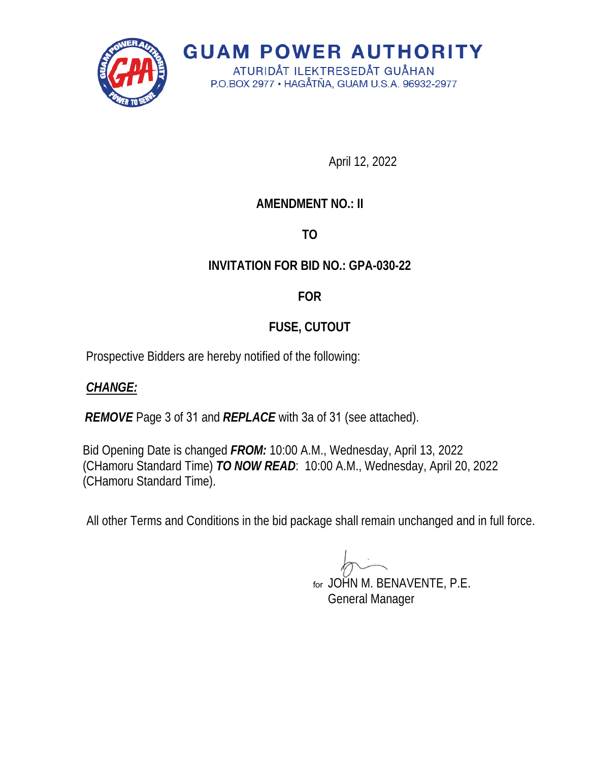

**GUAM POWER AUTHORITY** ATURIDÅT ILEKTRESEDÅT GUÅHAN

P.O.BOX 2977 · HAGÅTÑA, GUAM U.S.A. 96932-2977

April 12, 2022

## **AMENDMENT NO.: II**

# **TO**

## **INVITATION FOR BID NO.: GPA-030-22**

### **FOR**

# **FUSE, CUTOUT**

Prospective Bidders are hereby notified of the following:

### *CHANGE:*

*REMOVE* Page 3 of 31 and *REPLACE* with 3a of 31 (see attached).

Bid Opening Date is changed *FROM:* 10:00 A.M., Wednesday, April 13, 2022 (CHamoru Standard Time) *TO NOW READ*: 10:00 A.M., Wednesday, April 20, 2022 (CHamoru Standard Time).

All other Terms and Conditions in the bid package shall remain unchanged and in full force.

JOHN M. BENAVENTE, P.E. forGeneral Manager